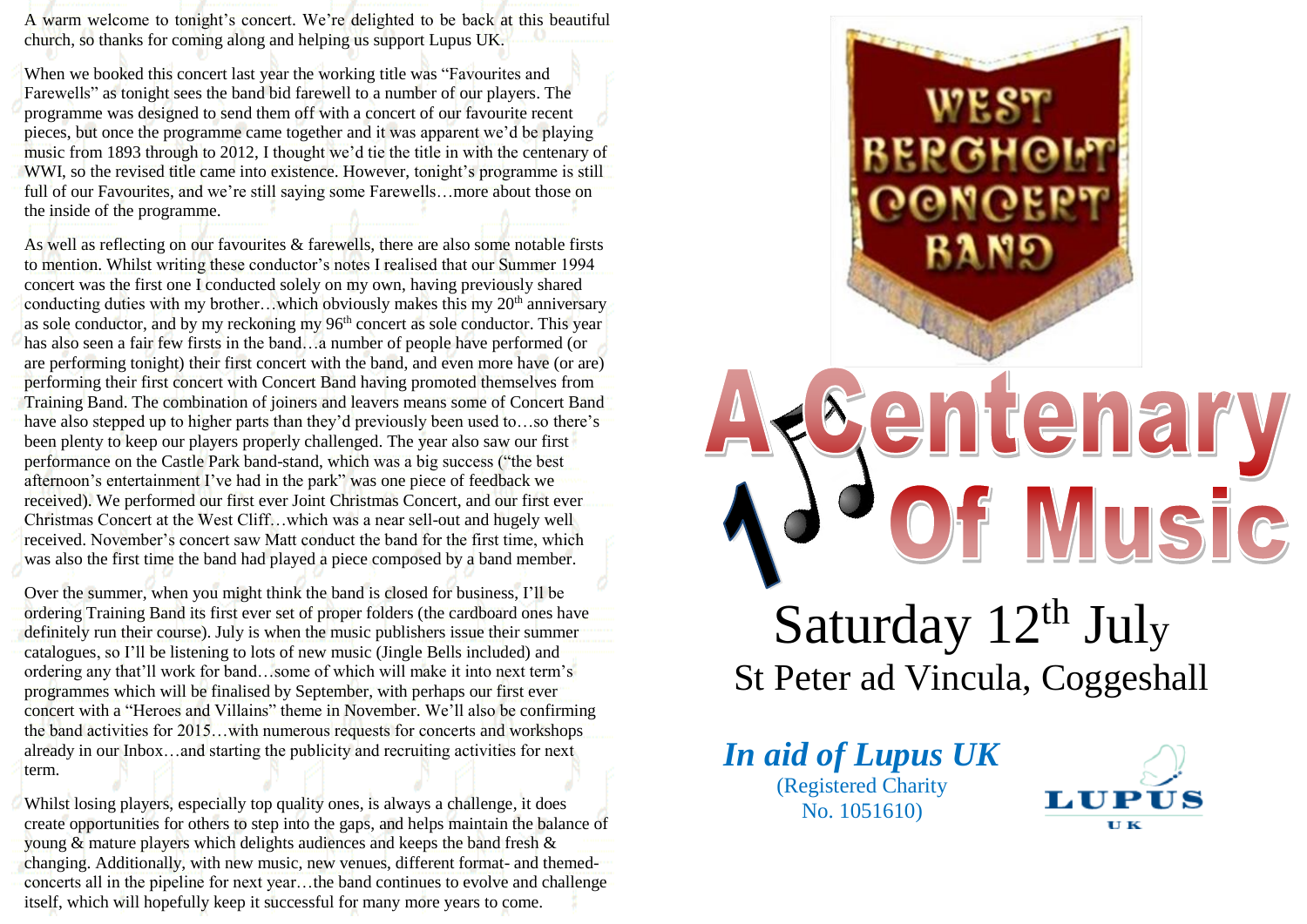A warm welcome to tonight's concert. We're delighted to be back at this beautiful church, so thanks for coming along and helping us support Lupus UK.

When we booked this concert last year the working title was "Favourites and Farewells" as tonight sees the band bid farewell to a number of our players. The programme was designed to send them off with a concert of our favourite recent pieces, but once the programme came together and it was apparent we'd be playing music from 1893 through to 2012, I thought we'd tie the title in with the centenary of WWI, so the revised title came into existence. However, tonight's programme is still full of our Favourites, and we're still saying some Farewells…more about those on the inside of the programme.

As well as reflecting on our favourites & farewells, there are also some notable firsts to mention. Whilst writing these conductor's notes I realised that our Summer 1994 concert was the first one I conducted solely on my own, having previously shared conducting duties with my brother…which obviously makes this my  $20<sup>th</sup>$  anniversary as sole conductor, and by my reckoning my 96<sup>th</sup> concert as sole conductor. This year has also seen a fair few firsts in the band...a number of people have performed (or are performing tonight) their first concert with the band, and even more have (or are) performing their first concert with Concert Band having promoted themselves from Training Band. The combination of joiners and leavers means some of Concert Band have also stepped up to higher parts than they'd previously been used to…so there's been plenty to keep our players properly challenged. The year also saw our first performance on the Castle Park band-stand, which was a big success ("the best afternoon's entertainment I've had in the park" was one piece of feedback we received). We performed our first ever Joint Christmas Concert, and our first ever Christmas Concert at the West Cliff…which was a near sell-out and hugely well received. November's concert saw Matt conduct the band for the first time, which was also the first time the band had played a piece composed by a band member.

Over the summer, when you might think the band is closed for business, I'll be ordering Training Band its first ever set of proper folders (the cardboard ones have definitely run their course). July is when the music publishers issue their summer catalogues, so I'll be listening to lots of new music (Jingle Bells included) and ordering any that'll work for band…some of which will make it into next term's programmes which will be finalised by September, with perhaps our first ever concert with a "Heroes and Villains" theme in November. We'll also be confirming the band activities for 2015…with numerous requests for concerts and workshops already in our Inbox…and starting the publicity and recruiting activities for next term.

Whilst losing players, especially top quality ones, is always a challenge, it does create opportunities for others to step into the gaps, and helps maintain the balance of young & mature players which delights audiences and keeps the band fresh & changing. Additionally, with new music, new venues, different format- and themedconcerts all in the pipeline for next year…the band continues to evolve and challenge itself, which will hopefully keep it successful for many more years to come.



*In aid of Lupus UK* (Registered Charity No. 1051610)

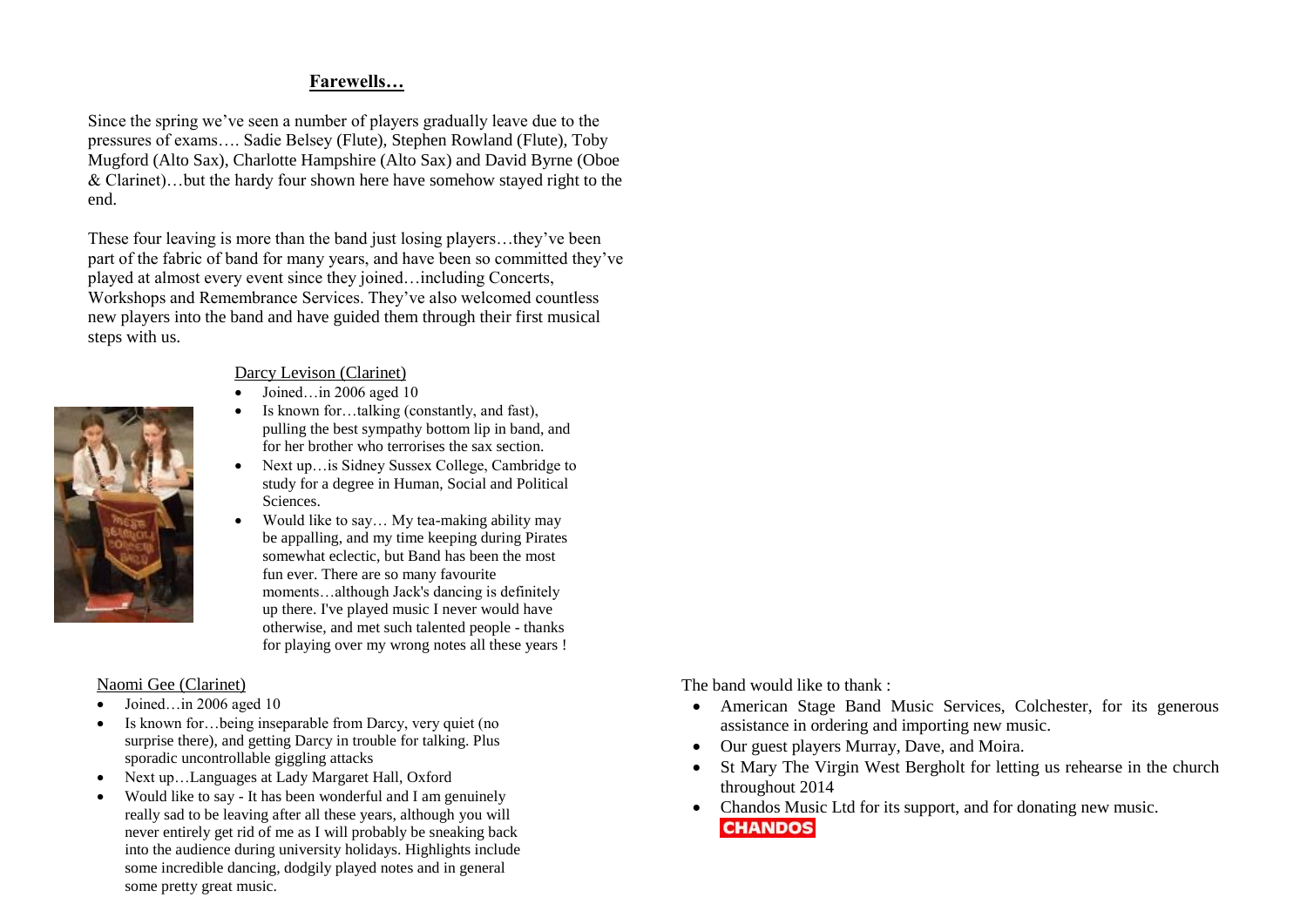# **Farewells…**

Since the spring we've seen a number of players gradually leave due to the pressures of exams…. Sadie Belsey (Flute), Stephen Rowland (Flute), Toby Mugford (Alto Sax), Charlotte Hampshire (Alto Sax) and David Byrne (Oboe & Clarinet)…but the hardy four shown here have somehow stayed right to the end.

These four leaving is more than the band just losing players…they've been part of the fabric of band for many years, and have been so committed they've played at almost every event since they joined…including Concerts, Workshops and Remembrance Services. They've also welcomed countless new players into the band and have guided them through their first musical steps with us.



### Darcy Levison (Clarinet)

- $\bullet$  Joined…in 2006 aged 10
- Is known for…talking (constantly, and fast), pulling the best sympathy bottom lip in band, and for her brother who terrorises the sax section.
- Next up…is Sidney Sussex College, Cambridge to study for a degree in Human, Social and Political Sciences.
- Would like to say... My tea-making ability may be appalling, and my time keeping during Pirates somewhat eclectic, but Band has been the most fun ever. There are so many favourite moments…although Jack's dancing is definitely up there. I've played music I never would have otherwise, and met such talented people - thanks for playing over my wrong notes all these years !

# Naomi Gee (Clarinet)

- $\bullet$  Joined…in 2006 aged 10
- Is known for…being inseparable from Darcy, very quiet (no surprise there), and getting Darcy in trouble for talking. Plus sporadic uncontrollable giggling attacks
- Next up…Languages at Lady Margaret Hall, Oxford
- Would like to say It has been wonderful and I am genuinely really sad to be leaving after all these years, although you will never entirely get rid of me as I will probably be sneaking back into the audience during university holidays. Highlights include some incredible dancing, dodgily played notes and in general some pretty great music.

The band would like to thank :

- American Stage Band Music Services, Colchester, for its generous assistance in ordering and importing new music.
- Our guest players Murray, Dave, and Moira.
- St Mary The Virgin West Bergholt for letting us rehearse in the church throughout 2014
- Chandos Music Ltd for its support, and for donating new music. **CHANDOS**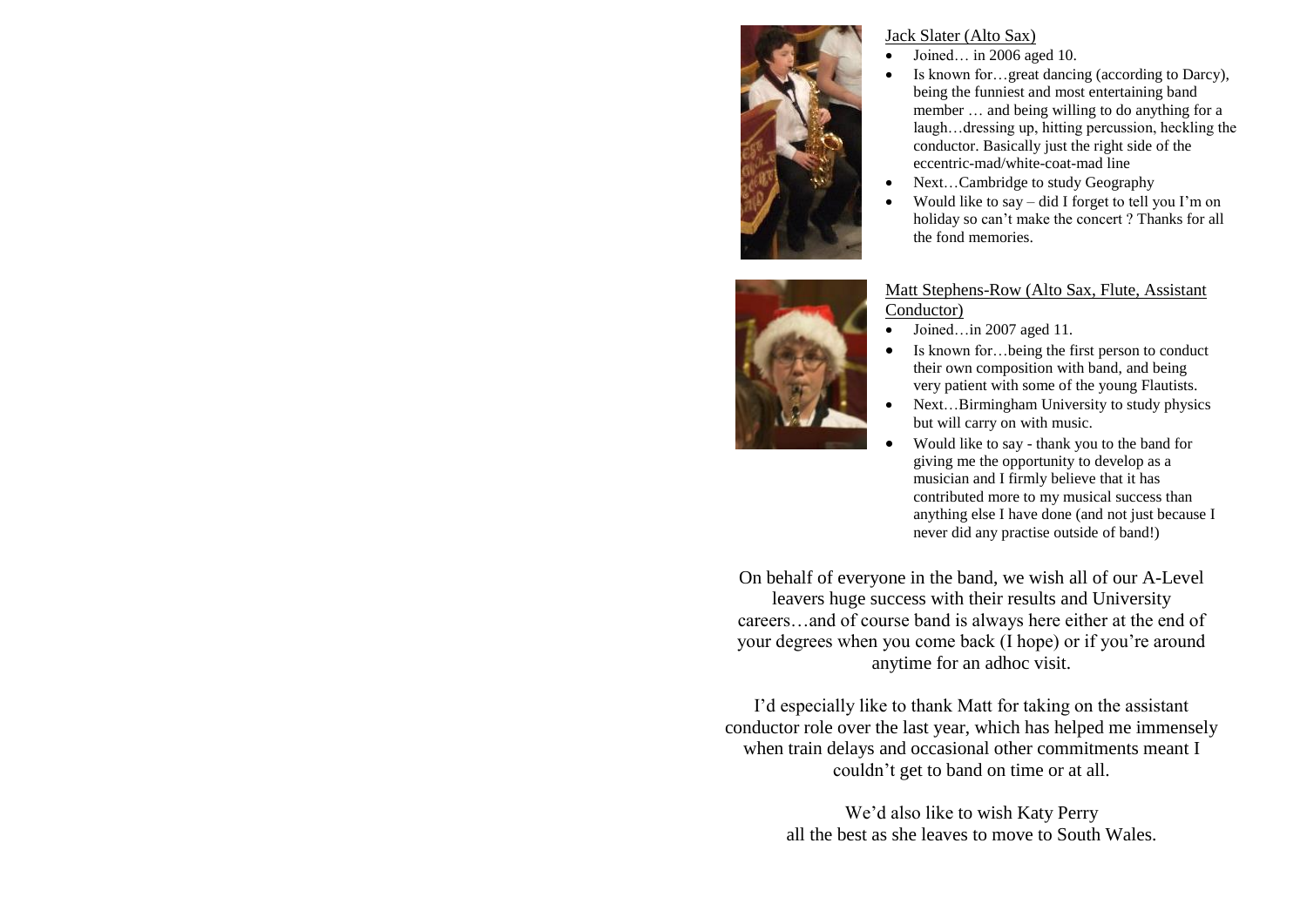

#### Jack Slater (Alto Sax)

- Joined… in 2006 aged 10.
- Is known for…great dancing (according to Darcy), being the funniest and most entertaining band member … and being willing to do anything for a laugh…dressing up, hitting percussion, heckling the conductor. Basically just the right side of the eccentric-mad/white-coat-mad line
- Next…Cambridge to study Geography
- Would like to say did I forget to tell you I'm on holiday so can't make the concert ? Thanks for all the fond memories.



#### Matt Stephens-Row (Alto Sax, Flute, Assistant Conductor)

- Joined…in 2007 aged 11.
- Is known for…being the first person to conduct their own composition with band, and being very patient with some of the young Flautists.
- Next…Birmingham University to study physics but will carry on with music.
- Would like to say thank you to the band for giving me the opportunity to develop as a musician and I firmly believe that it has contributed more to my musical success than anything else I have done (and not just because I never did any practise outside of band!)

On behalf of everyone in the band, we wish all of our A-Level leavers huge success with their results and University careers…and of course band is always here either at the end of your degrees when you come back (I hope) or if you're around anytime for an adhoc visit.

I'd especially like to thank Matt for taking on the assistant conductor role over the last year, which has helped me immensely when train delays and occasional other commitments meant I couldn't get to band on time or at all.

> We'd also like to wish Katy Perry all the best as she leaves to move to South Wales.